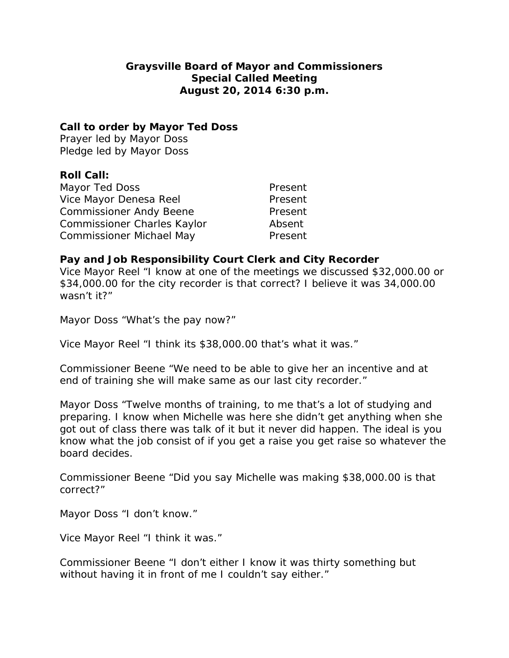# **Graysville Board of Mayor and Commissioners Special Called Meeting August 20, 2014 6:30 p.m.**

### **Call to order by Mayor Ted Doss**

Prayer led by Mayor Doss Pledge led by Mayor Doss

## **Roll Call:**

| Mayor Ted Doss                  | Present |
|---------------------------------|---------|
| Vice Mayor Denesa Reel          | Present |
| <b>Commissioner Andy Beene</b>  | Present |
| Commissioner Charles Kaylor     | Absent  |
| <b>Commissioner Michael May</b> | Present |

### **Pay and Job Responsibility Court Clerk and City Recorder**

Vice Mayor Reel "I know at one of the meetings we discussed \$32,000.00 or \$34,000.00 for the city recorder is that correct? I believe it was 34,000.00 wasn't it?"

Mayor Doss "What's the pay now?"

Vice Mayor Reel "I think its \$38,000.00 that's what it was."

Commissioner Beene "We need to be able to give her an incentive and at end of training she will make same as our last city recorder."

Mayor Doss "Twelve months of training, to me that's a lot of studying and preparing. I know when Michelle was here she didn't get anything when she got out of class there was talk of it but it never did happen. The ideal is you know what the job consist of if you get a raise you get raise so whatever the board decides.

Commissioner Beene "Did you say Michelle was making \$38,000.00 is that correct?"

Mayor Doss "I don't know."

Vice Mayor Reel "I think it was."

Commissioner Beene "I don't either I know it was thirty something but without having it in front of me I couldn't say either."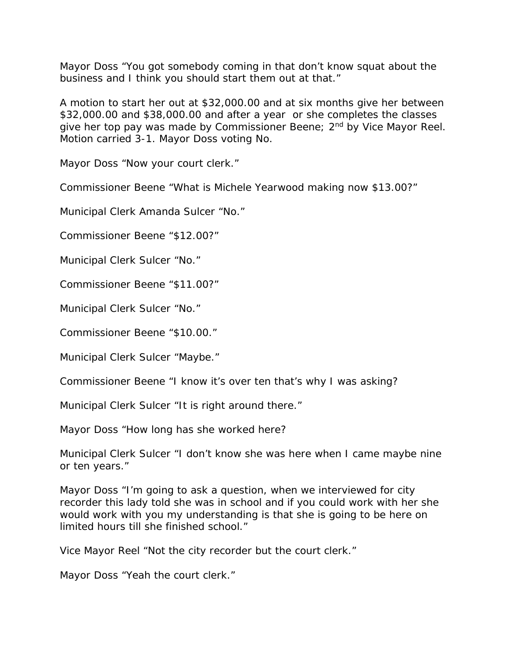Mayor Doss "You got somebody coming in that don't know squat about the business and I think you should start them out at that."

A motion to start her out at \$32,000.00 and at six months give her between \$32,000.00 and \$38,000.00 and after a year or she completes the classes give her top pay was made by Commissioner Beene; 2<sup>nd</sup> by Vice Mayor Reel. Motion carried 3-1. Mayor Doss voting No.

Mayor Doss "Now your court clerk."

Commissioner Beene "What is Michele Yearwood making now \$13.00?"

Municipal Clerk Amanda Sulcer "No."

Commissioner Beene "\$12.00?"

Municipal Clerk Sulcer "No."

Commissioner Beene "\$11.00?"

Municipal Clerk Sulcer "No."

Commissioner Beene "\$10.00."

Municipal Clerk Sulcer "Maybe."

Commissioner Beene "I know it's over ten that's why I was asking?

Municipal Clerk Sulcer "It is right around there."

Mayor Doss "How long has she worked here?

Municipal Clerk Sulcer "I don't know she was here when I came maybe nine or ten years."

Mayor Doss "I'm going to ask a question, when we interviewed for city recorder this lady told she was in school and if you could work with her she would work with you my understanding is that she is going to be here on limited hours till she finished school."

Vice Mayor Reel "Not the city recorder but the court clerk."

Mayor Doss "Yeah the court clerk."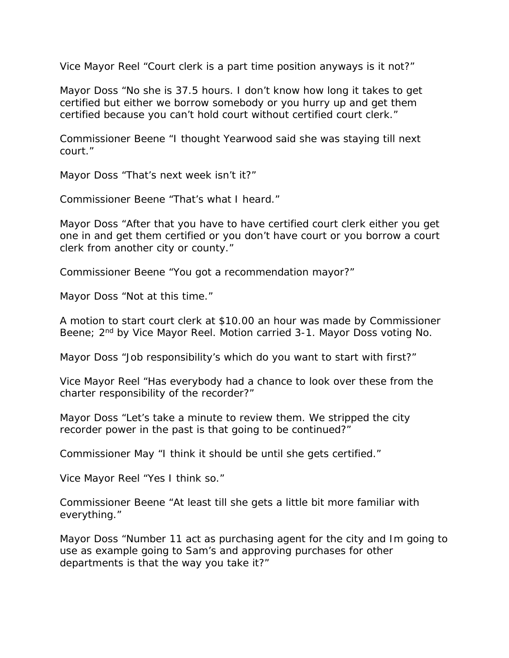Vice Mayor Reel "Court clerk is a part time position anyways is it not?"

Mayor Doss "No she is 37.5 hours. I don't know how long it takes to get certified but either we borrow somebody or you hurry up and get them certified because you can't hold court without certified court clerk."

Commissioner Beene "I thought Yearwood said she was staying till next court."

Mayor Doss "That's next week isn't it?"

Commissioner Beene "That's what I heard."

Mayor Doss "After that you have to have certified court clerk either you get one in and get them certified or you don't have court or you borrow a court clerk from another city or county."

Commissioner Beene "You got a recommendation mayor?"

Mayor Doss "Not at this time."

A motion to start court clerk at \$10.00 an hour was made by Commissioner Beene; 2<sup>nd</sup> by Vice Mayor Reel. Motion carried 3-1. Mayor Doss voting No.

Mayor Doss "Job responsibility's which do you want to start with first?"

Vice Mayor Reel "Has everybody had a chance to look over these from the charter responsibility of the recorder?"

Mayor Doss "Let's take a minute to review them. We stripped the city recorder power in the past is that going to be continued?"

Commissioner May "I think it should be until she gets certified."

Vice Mayor Reel "Yes I think so."

Commissioner Beene "At least till she gets a little bit more familiar with everything."

Mayor Doss "Number 11 act as purchasing agent for the city and Im going to use as example going to Sam's and approving purchases for other departments is that the way you take it?"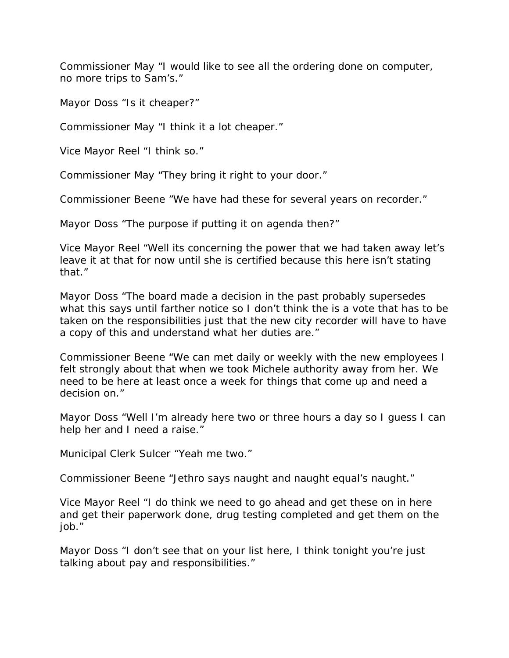Commissioner May "I would like to see all the ordering done on computer, no more trips to Sam's."

Mayor Doss "Is it cheaper?"

Commissioner May "I think it a lot cheaper."

Vice Mayor Reel "I think so."

Commissioner May "They bring it right to your door."

Commissioner Beene "We have had these for several years on recorder."

Mayor Doss "The purpose if putting it on agenda then?"

Vice Mayor Reel "Well its concerning the power that we had taken away let's leave it at that for now until she is certified because this here isn't stating that."

Mayor Doss "The board made a decision in the past probably supersedes what this says until farther notice so I don't think the is a vote that has to be taken on the responsibilities just that the new city recorder will have to have a copy of this and understand what her duties are."

Commissioner Beene "We can met daily or weekly with the new employees I felt strongly about that when we took Michele authority away from her. We need to be here at least once a week for things that come up and need a decision on."

Mayor Doss "Well I'm already here two or three hours a day so I guess I can help her and I need a raise."

Municipal Clerk Sulcer "Yeah me two."

Commissioner Beene "Jethro says naught and naught equal's naught."

Vice Mayor Reel "I do think we need to go ahead and get these on in here and get their paperwork done, drug testing completed and get them on the job."

Mayor Doss "I don't see that on your list here, I think tonight you're just talking about pay and responsibilities."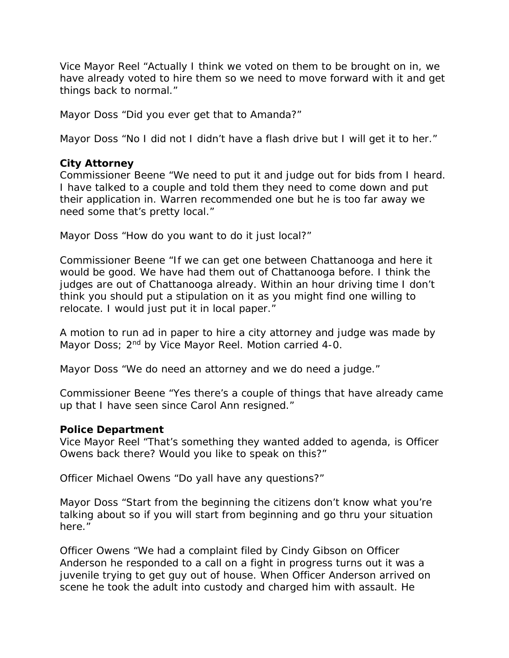Vice Mayor Reel "Actually I think we voted on them to be brought on in, we have already voted to hire them so we need to move forward with it and get things back to normal."

Mayor Doss "Did you ever get that to Amanda?"

Mayor Doss "No I did not I didn't have a flash drive but I will get it to her."

#### **City Attorney**

Commissioner Beene "We need to put it and judge out for bids from I heard. I have talked to a couple and told them they need to come down and put their application in. Warren recommended one but he is too far away we need some that's pretty local."

Mayor Doss "How do you want to do it just local?"

Commissioner Beene "If we can get one between Chattanooga and here it would be good. We have had them out of Chattanooga before. I think the judges are out of Chattanooga already. Within an hour driving time I don't think you should put a stipulation on it as you might find one willing to relocate. I would just put it in local paper."

A motion to run ad in paper to hire a city attorney and judge was made by Mayor Doss; 2<sup>nd</sup> by Vice Mayor Reel. Motion carried 4-0.

Mayor Doss "We do need an attorney and we do need a judge."

Commissioner Beene "Yes there's a couple of things that have already came up that I have seen since Carol Ann resigned."

#### **Police Department**

Vice Mayor Reel "That's something they wanted added to agenda, is Officer Owens back there? Would you like to speak on this?"

Officer Michael Owens "Do yall have any questions?"

Mayor Doss "Start from the beginning the citizens don't know what you're talking about so if you will start from beginning and go thru your situation here."

Officer Owens "We had a complaint filed by Cindy Gibson on Officer Anderson he responded to a call on a fight in progress turns out it was a juvenile trying to get guy out of house. When Officer Anderson arrived on scene he took the adult into custody and charged him with assault. He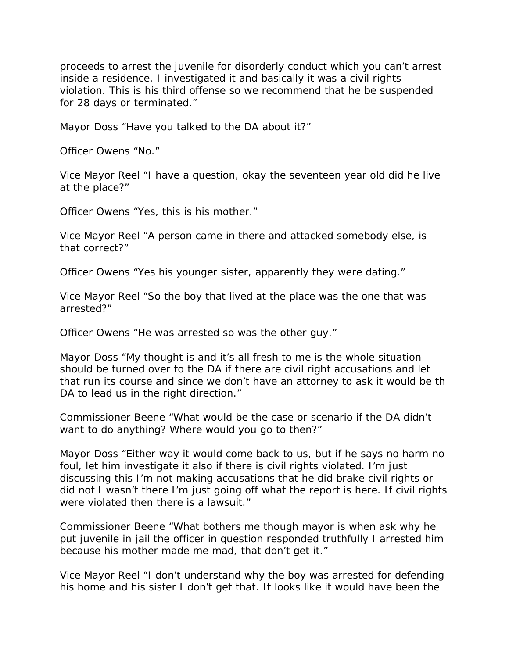proceeds to arrest the juvenile for disorderly conduct which you can't arrest inside a residence. I investigated it and basically it was a civil rights violation. This is his third offense so we recommend that he be suspended for 28 days or terminated."

Mayor Doss "Have you talked to the DA about it?"

Officer Owens "No."

Vice Mayor Reel "I have a question, okay the seventeen year old did he live at the place?"

Officer Owens "Yes, this is his mother."

Vice Mayor Reel "A person came in there and attacked somebody else, is that correct?"

Officer Owens "Yes his younger sister, apparently they were dating."

Vice Mayor Reel "So the boy that lived at the place was the one that was arrested?"

Officer Owens "He was arrested so was the other guy."

Mayor Doss "My thought is and it's all fresh to me is the whole situation should be turned over to the DA if there are civil right accusations and let that run its course and since we don't have an attorney to ask it would be th DA to lead us in the right direction."

Commissioner Beene "What would be the case or scenario if the DA didn't want to do anything? Where would you go to then?"

Mayor Doss "Either way it would come back to us, but if he says no harm no foul, let him investigate it also if there is civil rights violated. I'm just discussing this I'm not making accusations that he did brake civil rights or did not I wasn't there I'm just going off what the report is here. If civil rights were violated then there is a lawsuit."

Commissioner Beene "What bothers me though mayor is when ask why he put juvenile in jail the officer in question responded truthfully I arrested him because his mother made me mad, that don't get it."

Vice Mayor Reel "I don't understand why the boy was arrested for defending his home and his sister I don't get that. It looks like it would have been the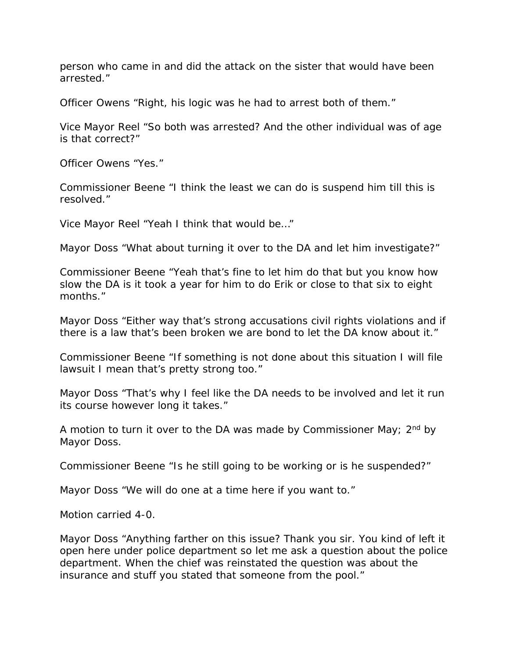person who came in and did the attack on the sister that would have been arrested."

Officer Owens "Right, his logic was he had to arrest both of them."

Vice Mayor Reel "So both was arrested? And the other individual was of age is that correct?"

Officer Owens "Yes."

Commissioner Beene "I think the least we can do is suspend him till this is resolved."

Vice Mayor Reel "Yeah I think that would be…"

Mayor Doss "What about turning it over to the DA and let him investigate?"

Commissioner Beene "Yeah that's fine to let him do that but you know how slow the DA is it took a year for him to do Erik or close to that six to eight months."

Mayor Doss "Either way that's strong accusations civil rights violations and if there is a law that's been broken we are bond to let the DA know about it."

Commissioner Beene "If something is not done about this situation I will file lawsuit I mean that's pretty strong too."

Mayor Doss "That's why I feel like the DA needs to be involved and let it run its course however long it takes."

A motion to turn it over to the DA was made by Commissioner May;  $2<sup>nd</sup>$  by Mayor Doss.

Commissioner Beene "Is he still going to be working or is he suspended?"

Mayor Doss "We will do one at a time here if you want to."

Motion carried 4-0.

Mayor Doss "Anything farther on this issue? Thank you sir. You kind of left it open here under police department so let me ask a question about the police department. When the chief was reinstated the question was about the insurance and stuff you stated that someone from the pool."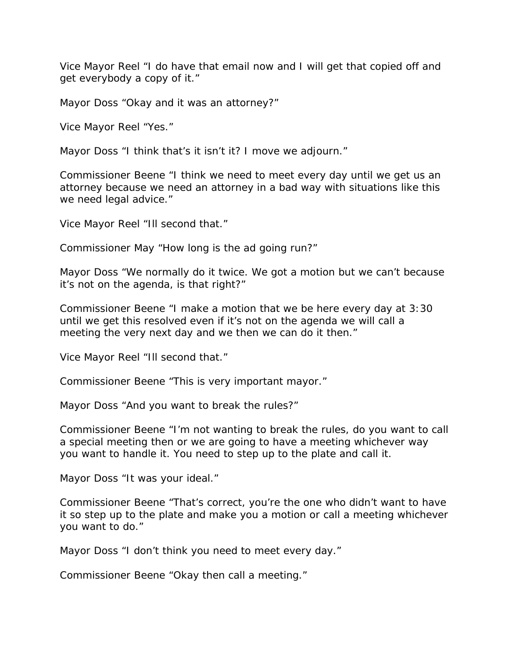Vice Mayor Reel "I do have that email now and I will get that copied off and get everybody a copy of it."

Mayor Doss "Okay and it was an attorney?"

Vice Mayor Reel "Yes."

Mayor Doss "I think that's it isn't it? I move we adjourn."

Commissioner Beene "I think we need to meet every day until we get us an attorney because we need an attorney in a bad way with situations like this we need legal advice."

Vice Mayor Reel "Ill second that."

Commissioner May "How long is the ad going run?"

Mayor Doss "We normally do it twice. We got a motion but we can't because it's not on the agenda, is that right?"

Commissioner Beene "I make a motion that we be here every day at 3:30 until we get this resolved even if it's not on the agenda we will call a meeting the very next day and we then we can do it then."

Vice Mayor Reel "Ill second that."

Commissioner Beene "This is very important mayor."

Mayor Doss "And you want to break the rules?"

Commissioner Beene "I'm not wanting to break the rules, do you want to call a special meeting then or we are going to have a meeting whichever way you want to handle it. You need to step up to the plate and call it.

Mayor Doss "It was your ideal."

Commissioner Beene "That's correct, you're the one who didn't want to have it so step up to the plate and make you a motion or call a meeting whichever you want to do."

Mayor Doss "I don't think you need to meet every day."

Commissioner Beene "Okay then call a meeting."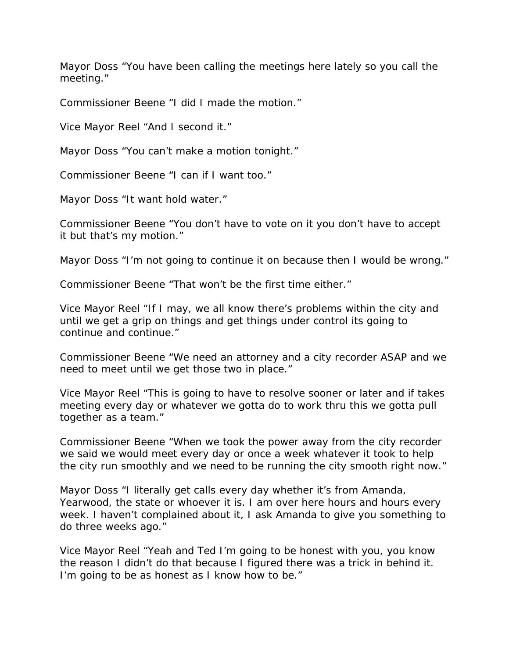Mayor Doss "You have been calling the meetings here lately so you call the meeting."

Commissioner Beene "I did I made the motion."

Vice Mayor Reel "And I second it."

Mayor Doss "You can't make a motion tonight."

Commissioner Beene "I can if I want too."

Mayor Doss "It want hold water."

Commissioner Beene "You don't have to vote on it you don't have to accept it but that's my motion."

Mayor Doss "I'm not going to continue it on because then I would be wrong."

Commissioner Beene "That won't be the first time either."

Vice Mayor Reel "If I may, we all know there's problems within the city and until we get a grip on things and get things under control its going to continue and continue."

Commissioner Beene "We need an attorney and a city recorder ASAP and we need to meet until we get those two in place."

Vice Mayor Reel "This is going to have to resolve sooner or later and if takes meeting every day or whatever we gotta do to work thru this we gotta pull together as a team."

Commissioner Beene "When we took the power away from the city recorder we said we would meet every day or once a week whatever it took to help the city run smoothly and we need to be running the city smooth right now."

Mayor Doss "I literally get calls every day whether it's from Amanda, Yearwood, the state or whoever it is. I am over here hours and hours every week. I haven't complained about it, I ask Amanda to give you something to do three weeks ago."

Vice Mayor Reel "Yeah and Ted I'm going to be honest with you, you know the reason I didn't do that because I figured there was a trick in behind it. I'm going to be as honest as I know how to be."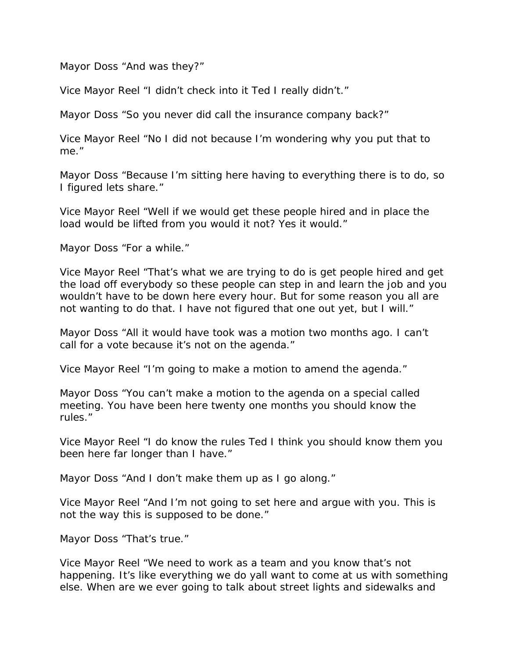Mayor Doss "And was they?"

Vice Mayor Reel "I didn't check into it Ted I really didn't."

Mayor Doss "So you never did call the insurance company back?"

Vice Mayor Reel "No I did not because I'm wondering why you put that to me."

Mayor Doss "Because I'm sitting here having to everything there is to do, so I figured lets share."

Vice Mayor Reel "Well if we would get these people hired and in place the load would be lifted from you would it not? Yes it would."

Mayor Doss "For a while."

Vice Mayor Reel "That's what we are trying to do is get people hired and get the load off everybody so these people can step in and learn the job and you wouldn't have to be down here every hour. But for some reason you all are not wanting to do that. I have not figured that one out yet, but I will."

Mayor Doss "All it would have took was a motion two months ago. I can't call for a vote because it's not on the agenda."

Vice Mayor Reel "I'm going to make a motion to amend the agenda."

Mayor Doss "You can't make a motion to the agenda on a special called meeting. You have been here twenty one months you should know the rules."

Vice Mayor Reel "I do know the rules Ted I think you should know them you been here far longer than I have."

Mayor Doss "And I don't make them up as I go along."

Vice Mayor Reel "And I'm not going to set here and argue with you. This is not the way this is supposed to be done."

Mayor Doss "That's true."

Vice Mayor Reel "We need to work as a team and you know that's not happening. It's like everything we do yall want to come at us with something else. When are we ever going to talk about street lights and sidewalks and